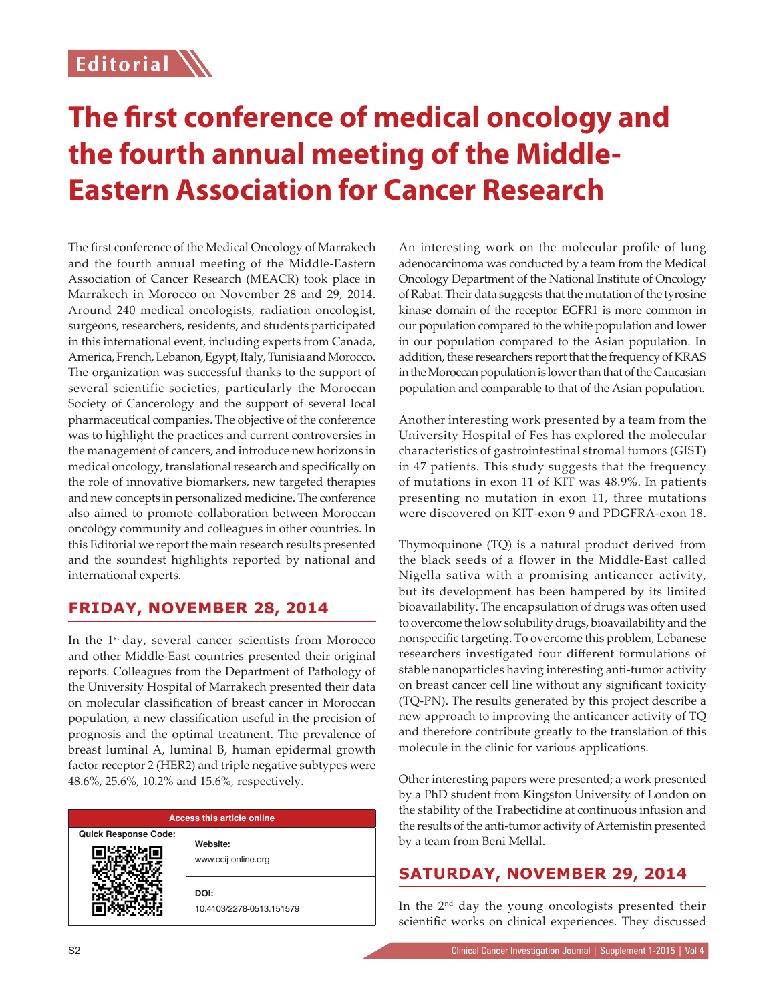## **Editorial**

# **The first conference of medical oncology and the fourth annual meeting of the Middle-Eastern Association for Cancer Research**

The first conference of the Medical Oncology of Marrakech and the fourth annual meeting of the Middle-Eastern Association of Cancer Research (MEACR) took place in Marrakech in Morocco on November 28 and 29, 2014. Around 240 medical oncologists, radiation oncologist, surgeons, researchers, residents, and students participated in this international event, including experts from Canada, America, French, Lebanon, Egypt, Italy, Tunisia and Morocco. The organization was successful thanks to the support of several scientific societies, particularly the Moroccan Society of Cancerology and the support of several local pharmaceutical companies. The objective of the conference was to highlight the practices and current controversies in the management of cancers, and introduce new horizons in medical oncology, translational research and specifically on the role of innovative biomarkers, new targeted therapies and new concepts in personalized medicine. The conference also aimed to promote collaboration between Moroccan oncology community and colleagues in other countries. In this Editorial we report the main research results presented and the soundest highlights reported by national and international experts.

### **FRIDAY, NOVEMBER 28, 2014**

In the  $1<sup>st</sup>$  day, several cancer scientists from Morocco and other Middle-East countries presented their original reports. Colleagues from the Department of Pathology of the University Hospital of Marrakech presented their data on molecular classification of breast cancer in Moroccan population, a new classification useful in the precision of prognosis and the optimal treatment. The prevalence of breast luminal A, luminal B, human epidermal growth factor receptor 2 (HER2) and triple negative subtypes were 48.6%, 25.6%, 10.2% and 15.6%, respectively.

| <b>Access this article online</b> |                                  |
|-----------------------------------|----------------------------------|
| <b>Quick Response Code:</b>       | Website:<br>www.ccij-online.org  |
|                                   | DOI:<br>10.4103/2278-0513.151579 |

An interesting work on the molecular profile of lung adenocarcinoma was conducted by a team from the Medical Oncology Department of the National Institute of Oncology of Rabat. Their data suggests that the mutation of the tyrosine kinase domain of the receptor EGFR1 is more common in our population compared to the white population and lower in our population compared to the Asian population. In addition, these researchers report that the frequency of KRAS in the Moroccan population is lower than that of the Caucasian population and comparable to that of the Asian population.

Another interesting work presented by a team from the University Hospital of Fes has explored the molecular characteristics of gastrointestinal stromal tumors (GIST) in 47 patients. This study suggests that the frequency of mutations in exon 11 of KIT was 48.9%. In patients presenting no mutation in exon 11, three mutations were discovered on KIT-exon 9 and PDGFRA-exon 18.

Thymoquinone (TQ) is a natural product derived from the black seeds of a flower in the Middle-East called Nigella sativa with a promising anticancer activity, but its development has been hampered by its limited bioavailability. The encapsulation of drugs was often used to overcome the low solubility drugs, bioavailability and the nonspecific targeting. To overcome this problem, Lebanese researchers investigated four different formulations of stable nanoparticles having interesting anti-tumor activity on breast cancer cell line without any significant toxicity (TQ-PN). The results generated by this project describe a new approach to improving the anticancer activity of TQ and therefore contribute greatly to the translation of this molecule in the clinic for various applications.

Other interesting papers were presented; a work presented by a PhD student from Kingston University of London on the stability of the Trabectidine at continuous infusion and the results of the anti-tumor activity of Artemistin presented by a team from Beni Mellal.

### **SATURDAY, NOVEMBER 29, 2014**

In the 2nd day the young oncologists presented their scientific works on clinical experiences. They discussed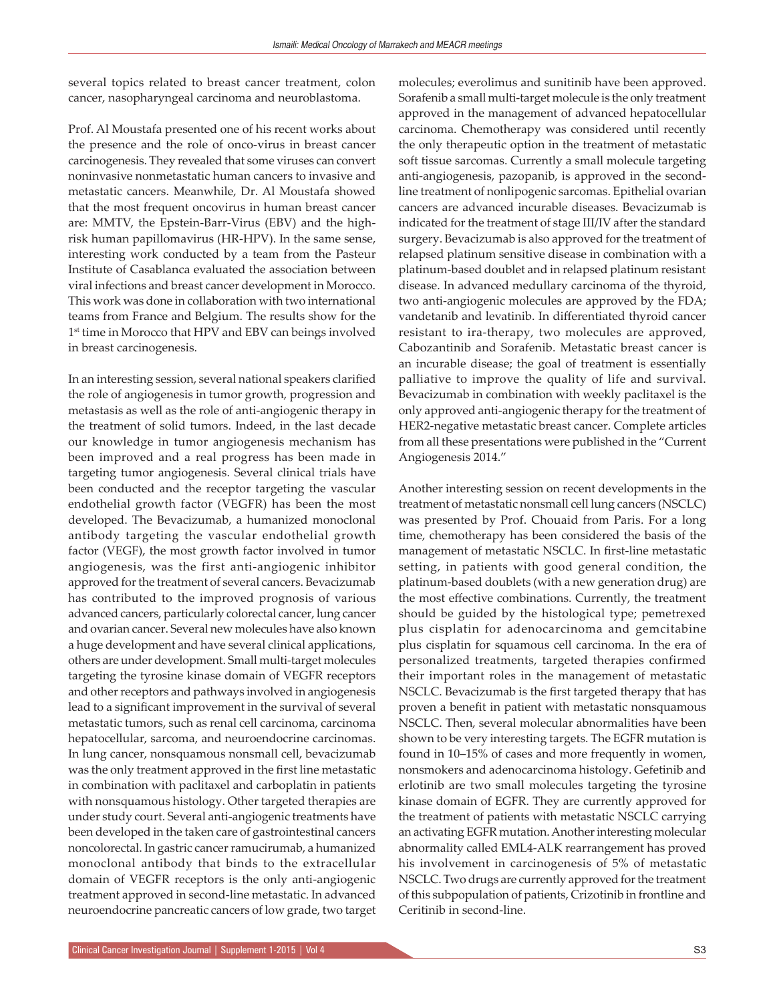several topics related to breast cancer treatment, colon cancer, nasopharyngeal carcinoma and neuroblastoma.

Prof. Al Moustafa presented one of his recent works about the presence and the role of onco-virus in breast cancer carcinogenesis. They revealed that some viruses can convert noninvasive nonmetastatic human cancers to invasive and metastatic cancers. Meanwhile, Dr. Al Moustafa showed that the most frequent oncovirus in human breast cancer are: MMTV, the Epstein-Barr-Virus (EBV) and the highrisk human papillomavirus (HR-HPV). In the same sense, interesting work conducted by a team from the Pasteur Institute of Casablanca evaluated the association between viral infections and breast cancer development in Morocco. This work was done in collaboration with two international teams from France and Belgium. The results show for the 1<sup>st</sup> time in Morocco that HPV and EBV can beings involved in breast carcinogenesis.

In an interesting session, several national speakers clarified the role of angiogenesis in tumor growth, progression and metastasis as well as the role of anti-angiogenic therapy in the treatment of solid tumors. Indeed, in the last decade our knowledge in tumor angiogenesis mechanism has been improved and a real progress has been made in targeting tumor angiogenesis. Several clinical trials have been conducted and the receptor targeting the vascular endothelial growth factor (VEGFR) has been the most developed. The Bevacizumab, a humanized monoclonal antibody targeting the vascular endothelial growth factor (VEGF), the most growth factor involved in tumor angiogenesis, was the first anti-angiogenic inhibitor approved for the treatment of several cancers. Bevacizumab has contributed to the improved prognosis of various advanced cancers, particularly colorectal cancer, lung cancer and ovarian cancer. Several new molecules have also known a huge development and have several clinical applications, others are under development. Small multi-target molecules targeting the tyrosine kinase domain of VEGFR receptors and other receptors and pathways involved in angiogenesis lead to a significant improvement in the survival of several metastatic tumors, such as renal cell carcinoma, carcinoma hepatocellular, sarcoma, and neuroendocrine carcinomas. In lung cancer, nonsquamous nonsmall cell, bevacizumab was the only treatment approved in the first line metastatic in combination with paclitaxel and carboplatin in patients with nonsquamous histology. Other targeted therapies are under study court. Several anti-angiogenic treatments have been developed in the taken care of gastrointestinal cancers noncolorectal. In gastric cancer ramucirumab, a humanized monoclonal antibody that binds to the extracellular domain of VEGFR receptors is the only anti-angiogenic treatment approved in second-line metastatic. In advanced neuroendocrine pancreatic cancers of low grade, two target

Sorafenib a small multi-target molecule is the only treatment approved in the management of advanced hepatocellular carcinoma. Chemotherapy was considered until recently the only therapeutic option in the treatment of metastatic soft tissue sarcomas. Currently a small molecule targeting anti-angiogenesis, pazopanib, is approved in the secondline treatment of nonlipogenic sarcomas. Epithelial ovarian cancers are advanced incurable diseases. Bevacizumab is indicated for the treatment of stage III/IV after the standard surgery. Bevacizumab is also approved for the treatment of relapsed platinum sensitive disease in combination with a platinum-based doublet and in relapsed platinum resistant disease. In advanced medullary carcinoma of the thyroid, two anti-angiogenic molecules are approved by the FDA; vandetanib and levatinib. In differentiated thyroid cancer resistant to ira-therapy, two molecules are approved, Cabozantinib and Sorafenib. Metastatic breast cancer is an incurable disease; the goal of treatment is essentially palliative to improve the quality of life and survival. Bevacizumab in combination with weekly paclitaxel is the only approved anti-angiogenic therapy for the treatment of HER2-negative metastatic breast cancer. Complete articles from all these presentations were published in the "Current Angiogenesis 2014."

molecules; everolimus and sunitinib have been approved.

Another interesting session on recent developments in the treatment of metastatic nonsmall cell lung cancers (NSCLC) was presented by Prof. Chouaid from Paris. For a long time, chemotherapy has been considered the basis of the management of metastatic NSCLC. In first-line metastatic setting, in patients with good general condition, the platinum-based doublets (with a new generation drug) are the most effective combinations. Currently, the treatment should be guided by the histological type; pemetrexed plus cisplatin for adenocarcinoma and gemcitabine plus cisplatin for squamous cell carcinoma. In the era of personalized treatments, targeted therapies confirmed their important roles in the management of metastatic NSCLC. Bevacizumab is the first targeted therapy that has proven a benefit in patient with metastatic nonsquamous NSCLC. Then, several molecular abnormalities have been shown to be very interesting targets. The EGFR mutation is found in 10–15% of cases and more frequently in women, nonsmokers and adenocarcinoma histology. Gefetinib and erlotinib are two small molecules targeting the tyrosine kinase domain of EGFR. They are currently approved for the treatment of patients with metastatic NSCLC carrying an activating EGFR mutation. Another interesting molecular abnormality called EML4-ALK rearrangement has proved his involvement in carcinogenesis of 5% of metastatic NSCLC. Two drugs are currently approved for the treatment of this subpopulation of patients, Crizotinib in frontline and Ceritinib in second-line.